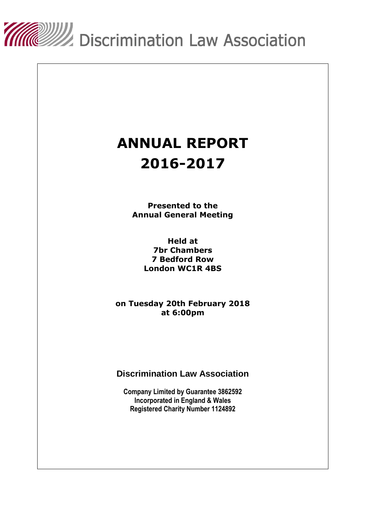

# **ANNUAL REPORT 2016-2017**

**Presented to the Annual General Meeting**

> **Held at 7br Chambers 7 Bedford Row London WC1R 4BS**

**on Tuesday 20th February 2018 at 6:00pm**

#### **Discrimination Law Association**

**Company Limited by Guarantee 3862592 Incorporated in England & Wales Registered Charity Number 1124892**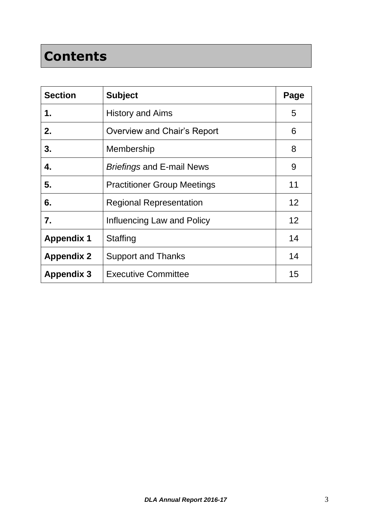# **Contents**

| <b>Section</b>    | <b>Subject</b>                     | Page |
|-------------------|------------------------------------|------|
| 1.                | <b>History and Aims</b>            | 5    |
| 2.                | Overview and Chair's Report        | 6    |
| 3.                | Membership                         | 8    |
| 4.                | <b>Briefings and E-mail News</b>   | 9    |
| 5.                | <b>Practitioner Group Meetings</b> | 11   |
| 6.                | <b>Regional Representation</b>     | 12   |
| 7.                | Influencing Law and Policy         | 12   |
| <b>Appendix 1</b> | Staffing                           | 14   |
| <b>Appendix 2</b> | <b>Support and Thanks</b>          | 14   |
| <b>Appendix 3</b> | <b>Executive Committee</b>         | 15   |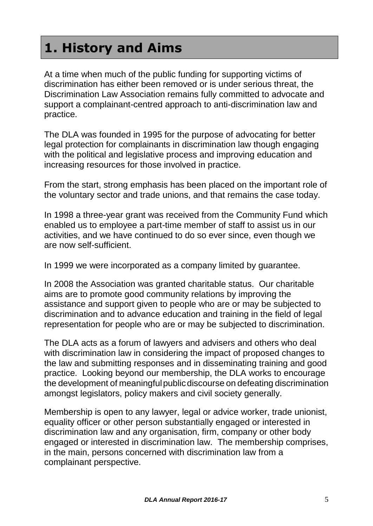## **1. History and Aims**

At a time when much of the public funding for supporting victims of discrimination has either been removed or is under serious threat, the Discrimination Law Association remains fully committed to advocate and support a complainant-centred approach to anti-discrimination law and practice.

The DLA was founded in 1995 for the purpose of advocating for better legal protection for complainants in discrimination law though engaging with the political and legislative process and improving education and increasing resources for those involved in practice.

From the start, strong emphasis has been placed on the important role of the voluntary sector and trade unions, and that remains the case today.

In 1998 a three-year grant was received from the Community Fund which enabled us to employee a part-time member of staff to assist us in our activities, and we have continued to do so ever since, even though we are now self-sufficient.

In 1999 we were incorporated as a company limited by guarantee.

In 2008 the Association was granted charitable status. Our charitable aims are to promote good community relations by improving the assistance and support given to people who are or may be subjected to discrimination and to advance education and training in the field of legal representation for people who are or may be subjected to discrimination.

The DLA acts as a forum of lawyers and advisers and others who deal with discrimination law in considering the impact of proposed changes to the law and submitting responses and in disseminating training and good practice. Looking beyond our membership, the DLA works to encourage the development of meaningful public discourse on defeating discrimination amongst legislators, policy makers and civil society generally.

Membership is open to any lawyer, legal or advice worker, trade unionist, equality officer or other person substantially engaged or interested in discrimination law and any organisation, firm, company or other body engaged or interested in discrimination law. The membership comprises, in the main, persons concerned with discrimination law from a complainant perspective.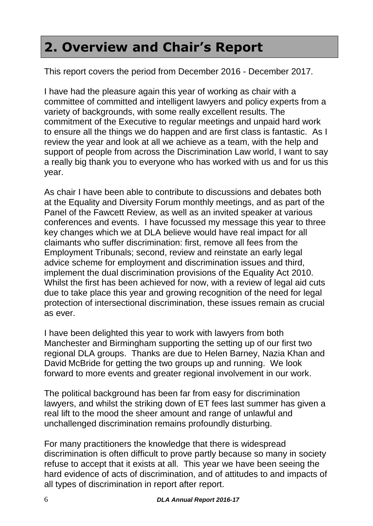## **2. Overview and Chair's Report**

This report covers the period from December 2016 - December 2017.

I have had the pleasure again this year of working as chair with a committee of committed and intelligent lawyers and policy experts from a variety of backgrounds, with some really excellent results. The commitment of the Executive to regular meetings and unpaid hard work to ensure all the things we do happen and are first class is fantastic. As I review the year and look at all we achieve as a team, with the help and support of people from across the Discrimination Law world, I want to say a really big thank you to everyone who has worked with us and for us this year.

As chair I have been able to contribute to discussions and debates both at the Equality and Diversity Forum monthly meetings, and as part of the Panel of the Fawcett Review, as well as an invited speaker at various conferences and events. I have focussed my message this year to three key changes which we at DLA believe would have real impact for all claimants who suffer discrimination: first, remove all fees from the Employment Tribunals; second, review and reinstate an early legal advice scheme for employment and discrimination issues and third, implement the dual discrimination provisions of the Equality Act 2010. Whilst the first has been achieved for now, with a review of legal aid cuts due to take place this year and growing recognition of the need for legal protection of intersectional discrimination, these issues remain as crucial as ever.

I have been delighted this year to work with lawyers from both Manchester and Birmingham supporting the setting up of our first two regional DLA groups. Thanks are due to Helen Barney, Nazia Khan and David McBride for getting the two groups up and running. We look forward to more events and greater regional involvement in our work.

The political background has been far from easy for discrimination lawyers, and whilst the striking down of ET fees last summer has given a real lift to the mood the sheer amount and range of unlawful and unchallenged discrimination remains profoundly disturbing.

For many practitioners the knowledge that there is widespread discrimination is often difficult to prove partly because so many in society refuse to accept that it exists at all. This year we have been seeing the hard evidence of acts of discrimination, and of attitudes to and impacts of all types of discrimination in report after report.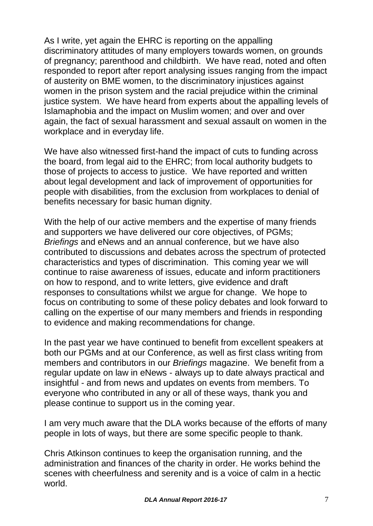As I write, yet again the EHRC is reporting on the appalling discriminatory attitudes of many employers towards women, on grounds of pregnancy; parenthood and childbirth. We have read, noted and often responded to report after report analysing issues ranging from the impact of austerity on BME women, to the discriminatory injustices against women in the prison system and the racial prejudice within the criminal justice system. We have heard from experts about the appalling levels of Islamaphobia and the impact on Muslim women; and over and over again, the fact of sexual harassment and sexual assault on women in the workplace and in everyday life.

We have also witnessed first-hand the impact of cuts to funding across the board, from legal aid to the EHRC; from local authority budgets to those of projects to access to justice. We have reported and written about legal development and lack of improvement of opportunities for people with disabilities, from the exclusion from workplaces to denial of benefits necessary for basic human dignity.

With the help of our active members and the expertise of many friends and supporters we have delivered our core objectives, of PGMs; *Briefings* and eNews and an annual conference, but we have also contributed to discussions and debates across the spectrum of protected characteristics and types of discrimination. This coming year we will continue to raise awareness of issues, educate and inform practitioners on how to respond, and to write letters, give evidence and draft responses to consultations whilst we argue for change. We hope to focus on contributing to some of these policy debates and look forward to calling on the expertise of our many members and friends in responding to evidence and making recommendations for change.

In the past year we have continued to benefit from excellent speakers at both our PGMs and at our Conference, as well as first class writing from members and contributors in our *Briefings* magazine. We benefit from a regular update on law in eNews - always up to date always practical and insightful - and from news and updates on events from members. To everyone who contributed in any or all of these ways, thank you and please continue to support us in the coming year.

I am very much aware that the DLA works because of the efforts of many people in lots of ways, but there are some specific people to thank.

Chris Atkinson continues to keep the organisation running, and the administration and finances of the charity in order. He works behind the scenes with cheerfulness and serenity and is a voice of calm in a hectic world.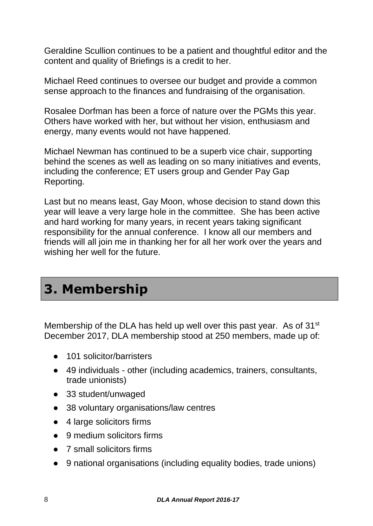Geraldine Scullion continues to be a patient and thoughtful editor and the content and quality of Briefings is a credit to her.

Michael Reed continues to oversee our budget and provide a common sense approach to the finances and fundraising of the organisation.

Rosalee Dorfman has been a force of nature over the PGMs this year. Others have worked with her, but without her vision, enthusiasm and energy, many events would not have happened.

Michael Newman has continued to be a superb vice chair, supporting behind the scenes as well as leading on so many initiatives and events, including the conference; ET users group and Gender Pay Gap Reporting.

Last but no means least, Gay Moon, whose decision to stand down this year will leave a very large hole in the committee. She has been active and hard working for many years, in recent years taking significant responsibility for the annual conference. I know all our members and friends will all join me in thanking her for all her work over the years and wishing her well for the future.

### **3. Membership**

Membership of the DLA has held up well over this past year. As of 31<sup>st</sup> December 2017, DLA membership stood at 250 members, made up of:

- 101 solicitor/barristers
- 49 individuals other (including academics, trainers, consultants, trade unionists)
- 33 student/unwaged
- 38 voluntary organisations/law centres
- 4 large solicitors firms
- 9 medium solicitors firms
- 7 small solicitors firms
- 9 national organisations (including equality bodies, trade unions)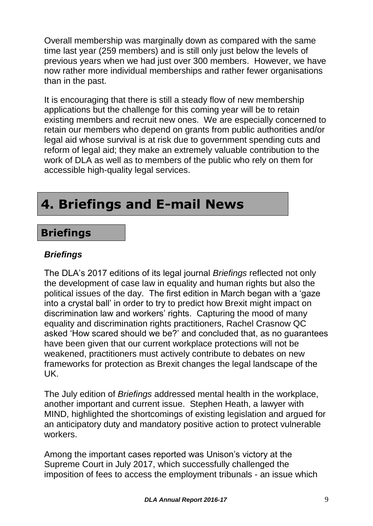Overall membership was marginally down as compared with the same time last year (259 members) and is still only just below the levels of previous years when we had just over 300 members. However, we have now rather more individual memberships and rather fewer organisations than in the past.

It is encouraging that there is still a steady flow of new membership applications but the challenge for this coming year will be to retain existing members and recruit new ones. We are especially concerned to retain our members who depend on grants from public authorities and/or legal aid whose survival is at risk due to government spending cuts and reform of legal aid; they make an extremely valuable contribution to the work of DLA as well as to members of the public who rely on them for accessible high-quality legal services.

### **4. Briefings and E-mail News**

#### **Briefings**

#### *Briefings*

The DLA's 2017 editions of its legal journal *Briefings* reflected not only the development of case law in equality and human rights but also the political issues of the day. The first edition in March began with a 'gaze into a crystal ball' in order to try to predict how Brexit might impact on discrimination law and workers' rights. Capturing the mood of many equality and discrimination rights practitioners, Rachel Crasnow QC asked 'How scared should we be?' and concluded that, as no guarantees have been given that our current workplace protections will not be weakened, practitioners must actively contribute to debates on new frameworks for protection as Brexit changes the legal landscape of the UK.

The July edition of *Briefings* addressed mental health in the workplace, another important and current issue. Stephen Heath, a lawyer with MIND, highlighted the shortcomings of existing legislation and argued for an anticipatory duty and mandatory positive action to protect vulnerable workers.

Among the important cases reported was Unison's victory at the Supreme Court in July 2017, which successfully challenged the imposition of fees to access the employment tribunals - an issue which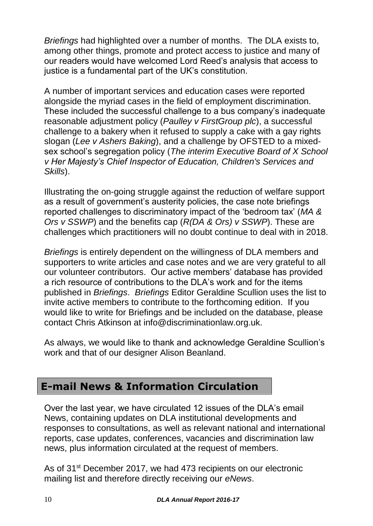*Briefings* had highlighted over a number of months. The DLA exists to, among other things, promote and protect access to justice and many of our readers would have welcomed Lord Reed's analysis that access to justice is a fundamental part of the UK's constitution.

A number of important services and education cases were reported alongside the myriad cases in the field of employment discrimination. These included the successful challenge to a bus company's inadequate reasonable adjustment policy (*Paulley v FirstGroup plc*), a successful challenge to a bakery when it refused to supply a cake with a gay rights slogan (*Lee v Ashers Baking*), and a challenge by OFSTED to a mixedsex school's segregation policy (*The interim Executive Board of X School v Her Majesty's Chief Inspector of Education, Children's Services and Skills*).

Illustrating the on-going struggle against the reduction of welfare support as a result of government's austerity policies, the case note briefings reported challenges to discriminatory impact of the 'bedroom tax' (*MA & Ors v SSWP*) and the benefits cap (*R(DA & Ors) v SSWP*). These are challenges which practitioners will no doubt continue to deal with in 2018.

*Briefings* is entirely dependent on the willingness of DLA members and supporters to write articles and case notes and we are very grateful to all our volunteer contributors. Our active members' database has provided a rich resource of contributions to the DLA's work and for the items published in *Briefings*. *Briefings* Editor Geraldine Scullion uses the list to invite active members to contribute to the forthcoming edition. If you would like to write for Briefings and be included on the database, please contact Chris Atkinson at info@discriminationlaw.org.uk.

As always, we would like to thank and acknowledge Geraldine Scullion's work and that of our designer Alison Beanland.

### **E-mail News & Information Circulation**

Over the last year, we have circulated 12 issues of the DLA's email News, containing updates on DLA institutional developments and responses to consultations, as well as relevant national and international reports, case updates, conferences, vacancies and discrimination law news, plus information circulated at the request of members.

As of 31<sup>st</sup> December 2017, we had 473 recipients on our electronic mailing list and therefore directly receiving our *eNews*.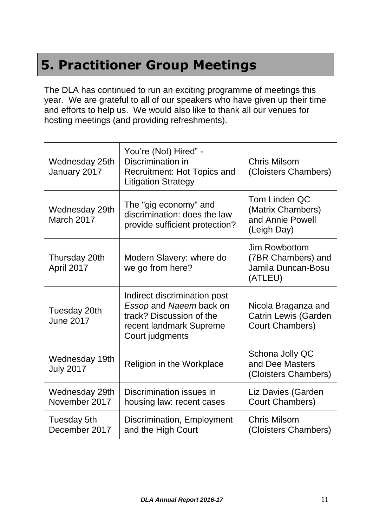### **5. Practitioner Group Meetings**

The DLA has continued to run an exciting programme of meetings this year. We are grateful to all of our speakers who have given up their time and efforts to help us. We would also like to thank all our venues for hosting meetings (and providing refreshments).

| Wednesday 25th<br>January 2017      | You're (Not) Hired" -<br>Discrimination in<br><b>Recruitment: Hot Topics and</b><br><b>Litigation Strategy</b>                           | <b>Chris Milsom</b><br>(Cloisters Chambers)                                  |
|-------------------------------------|------------------------------------------------------------------------------------------------------------------------------------------|------------------------------------------------------------------------------|
| Wednesday 29th<br><b>March 2017</b> | The "gig economy" and<br>discrimination: does the law<br>provide sufficient protection?                                                  | Tom Linden QC<br>(Matrix Chambers)<br>and Annie Powell<br>(Leigh Day)        |
| Thursday 20th<br>April 2017         | Modern Slavery: where do<br>we go from here?                                                                                             | Jim Rowbottom<br>(7BR Chambers) and<br>Jamila Duncan-Bosu<br>(ATLEU)         |
| Tuesday 20th<br><b>June 2017</b>    | Indirect discrimination post<br><b>Essop and Naeem back on</b><br>track? Discussion of the<br>recent landmark Supreme<br>Court judgments | Nicola Braganza and<br><b>Catrin Lewis (Garden</b><br><b>Court Chambers)</b> |
| Wednesday 19th<br><b>July 2017</b>  | <b>Religion in the Workplace</b>                                                                                                         | Schona Jolly QC<br>and Dee Masters<br>(Cloisters Chambers)                   |
| Wednesday 29th<br>November 2017     | Discrimination issues in<br>housing law: recent cases                                                                                    | Liz Davies (Garden<br><b>Court Chambers)</b>                                 |
| Tuesday 5th<br>December 2017        | Discrimination, Employment<br>and the High Court                                                                                         | <b>Chris Milsom</b><br>(Cloisters Chambers)                                  |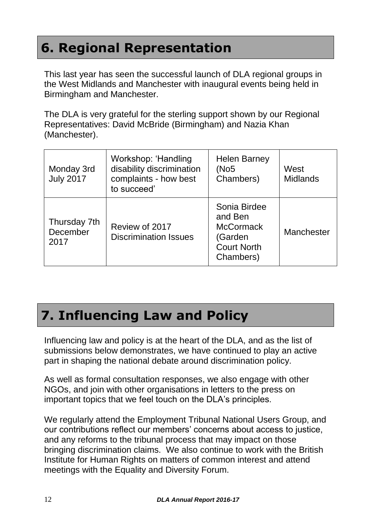# **6. Regional Representation**

This last year has seen the successful launch of DLA regional groups in the West Midlands and Manchester with inaugural events being held in Birmingham and Manchester.

The DLA is very grateful for the sterling support shown by our Regional Representatives: David McBride (Birmingham) and Nazia Khan (Manchester).

| Monday 3rd<br><b>July 2017</b>   | Workshop: 'Handling<br>disability discrimination<br>complaints - how best<br>to succeed' | <b>Helen Barney</b><br>(No5<br>Chambers)                                                  | West<br><b>Midlands</b> |
|----------------------------------|------------------------------------------------------------------------------------------|-------------------------------------------------------------------------------------------|-------------------------|
| Thursday 7th<br>December<br>2017 | Review of 2017<br><b>Discrimination Issues</b>                                           | Sonia Birdee<br>and Ben<br><b>McCormack</b><br>(Garden<br><b>Court North</b><br>Chambers) | Manchester              |

### **7. Influencing Law and Policy**

Influencing law and policy is at the heart of the DLA, and as the list of submissions below demonstrates, we have continued to play an active part in shaping the national debate around discrimination policy.

As well as formal consultation responses, we also engage with other NGOs, and join with other organisations in letters to the press on important topics that we feel touch on the DLA's principles.

We regularly attend the Employment Tribunal National Users Group, and our contributions reflect our members' concerns about access to justice, and any reforms to the tribunal process that may impact on those bringing discrimination claims. We also continue to work with the British Institute for Human Rights on matters of common interest and attend meetings with the Equality and Diversity Forum.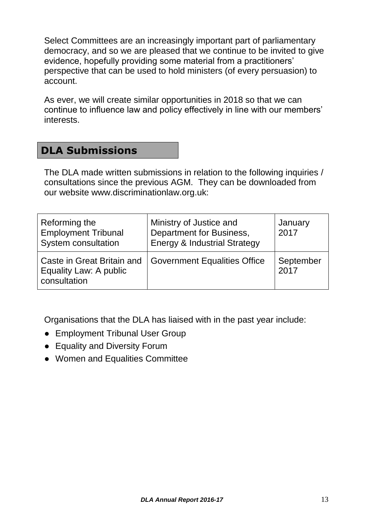Select Committees are an increasingly important part of parliamentary democracy, and so we are pleased that we continue to be invited to give evidence, hopefully providing some material from a practitioners' perspective that can be used to hold ministers (of every persuasion) to account.

As ever, we will create similar opportunities in 2018 so that we can continue to influence law and policy effectively in line with our members' interests.

### **DLA Submissions**

The DLA made written submissions in relation to the following inquiries / consultations since the previous AGM. They can be downloaded from our website www.discriminationlaw.org.uk:

| Reforming the<br><b>Employment Tribunal</b><br><b>System consultation</b> | Ministry of Justice and<br>Department for Business,<br><b>Energy &amp; Industrial Strategy</b> | January<br>2017   |
|---------------------------------------------------------------------------|------------------------------------------------------------------------------------------------|-------------------|
| Caste in Great Britain and<br>Equality Law: A public<br>consultation      | <b>Government Equalities Office</b>                                                            | September<br>2017 |

Organisations that the DLA has liaised with in the past year include:

- Employment Tribunal User Group
- Equality and Diversity Forum
- Women and Equalities Committee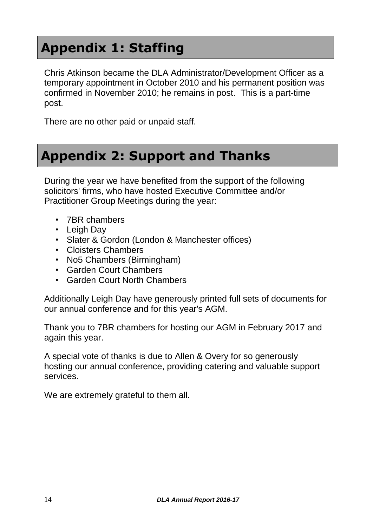# **Appendix 1: Staffing**

Chris Atkinson became the DLA Administrator/Development Officer as a temporary appointment in October 2010 and his permanent position was confirmed in November 2010; he remains in post. This is a part-time post.

There are no other paid or unpaid staff.

### **Appendix 2: Support and Thanks**

During the year we have benefited from the support of the following solicitors' firms, who have hosted Executive Committee and/or Practitioner Group Meetings during the year:

- 7BR chambers
- Leigh Day
- Slater & Gordon (London & Manchester offices)
- Cloisters Chambers
- No5 Chambers (Birmingham)
- Garden Court Chambers
- Garden Court North Chambers

Additionally Leigh Day have generously printed full sets of documents for our annual conference and for this year's AGM.

Thank you to 7BR chambers for hosting our AGM in February 2017 and again this year.

A special vote of thanks is due to Allen & Overy for so generously hosting our annual conference, providing catering and valuable support services.

We are extremely grateful to them all.